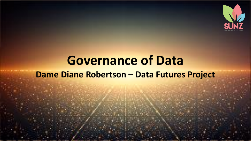

# **Governance of Data Dame Diane Robertson - Data Futures Project**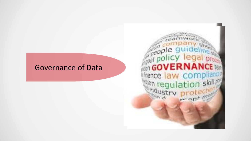### Governance of Data

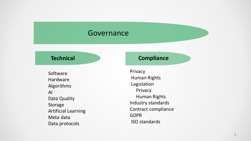#### Governance

Software Hardware Algorithms AI Data Quality Storage Artificial Learning Meta data Data protocols

#### **Technical Compliance**

Privacy Human Rights Legislation Privacy Human Rights Industry standards Contract compliance GDPR ISO standards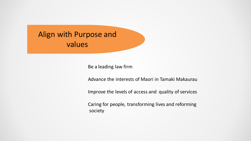# Align with Purpose and values

Be a leading law firm

Advance the interests of Maori in Tamaki Makaurau

Improve the levels of access and quality of services

Caring for people, transforming lives and reforming society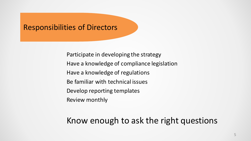#### Responsibilities of Directors

Participate in developing the strategy Have a knowledge of compliance legislation Have a knowledge of regulations Be familiar with technical issues Develop reporting templates Review monthly

## Know enough to ask the right questions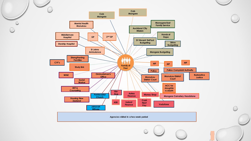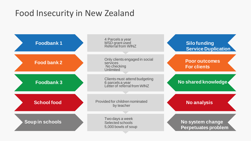# Food Insecurity in New Zealand